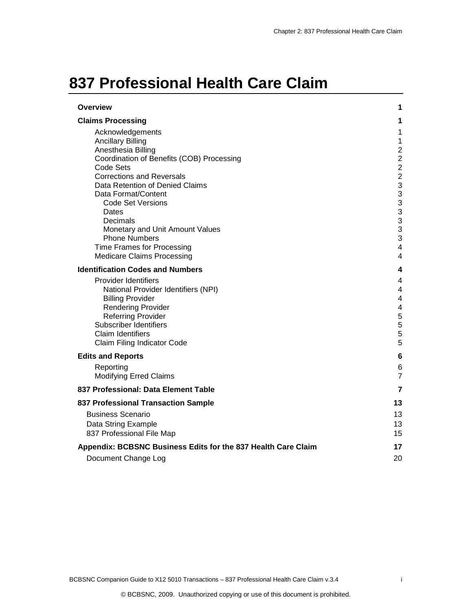# **837 Professional Health Care Claim**

| <b>Overview</b>                                                                                                                                                                                                                                                                                                                                                                                           | 1                                                                                                                                                              |
|-----------------------------------------------------------------------------------------------------------------------------------------------------------------------------------------------------------------------------------------------------------------------------------------------------------------------------------------------------------------------------------------------------------|----------------------------------------------------------------------------------------------------------------------------------------------------------------|
| <b>Claims Processing</b>                                                                                                                                                                                                                                                                                                                                                                                  | 1                                                                                                                                                              |
| Acknowledgements<br><b>Ancillary Billing</b><br>Anesthesia Billing<br>Coordination of Benefits (COB) Processing<br>Code Sets<br><b>Corrections and Reversals</b><br>Data Retention of Denied Claims<br>Data Format/Content<br><b>Code Set Versions</b><br>Dates<br>Decimals<br>Monetary and Unit Amount Values<br><b>Phone Numbers</b><br>Time Frames for Processing<br><b>Medicare Claims Processing</b> | 1<br>$\mathbf{1}$<br>$\overline{2}$<br>$\overline{c}$<br>$\boldsymbol{2}$<br>$\overline{c}$<br>3<br>3<br>3<br>3<br>3<br>3<br>3<br>$\overline{\mathbf{4}}$<br>4 |
| <b>Identification Codes and Numbers</b>                                                                                                                                                                                                                                                                                                                                                                   | 4                                                                                                                                                              |
| Provider Identifiers<br>National Provider Identifiers (NPI)<br><b>Billing Provider</b><br><b>Rendering Provider</b><br><b>Referring Provider</b><br>Subscriber Identifiers<br><b>Claim Identifiers</b><br>Claim Filing Indicator Code                                                                                                                                                                     | 4<br>4<br>$\overline{\mathbf{4}}$<br>4<br>5<br>5<br>5<br>5                                                                                                     |
| <b>Edits and Reports</b>                                                                                                                                                                                                                                                                                                                                                                                  | 6                                                                                                                                                              |
| Reporting<br><b>Modifying Erred Claims</b>                                                                                                                                                                                                                                                                                                                                                                | 6<br>$\overline{7}$                                                                                                                                            |
| 837 Professional: Data Element Table                                                                                                                                                                                                                                                                                                                                                                      | 7                                                                                                                                                              |
| 837 Professional Transaction Sample                                                                                                                                                                                                                                                                                                                                                                       | 13                                                                                                                                                             |
| <b>Business Scenario</b><br>Data String Example<br>837 Professional File Map                                                                                                                                                                                                                                                                                                                              | 13<br>13<br>15                                                                                                                                                 |
| Appendix: BCBSNC Business Edits for the 837 Health Care Claim                                                                                                                                                                                                                                                                                                                                             | 17                                                                                                                                                             |
| Document Change Log                                                                                                                                                                                                                                                                                                                                                                                       | 20                                                                                                                                                             |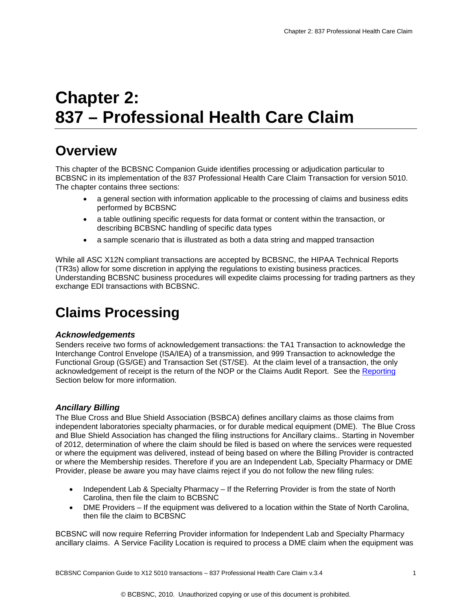# **Chapter 2: 837 – Professional Health Care Claim**

## <span id="page-1-4"></span><span id="page-1-0"></span>**Overview**

This chapter of the BCBSNC Companion Guide identifies processing or adjudication particular to BCBSNC in its implementation of the 837 Professional Health Care Claim Transaction for version 5010. The chapter contains three sections:

- a general section with information applicable to the processing of claims and business edits performed by BCBSNC
- a table outlining specific requests for data format or content within the transaction, or describing BCBSNC handling of specific data types
- a sample scenario that is illustrated as both a data string and mapped transaction

While all ASC X12N compliant transactions are accepted by BCBSNC, the HIPAA Technical Reports (TR3s) allow for some discretion in applying the regulations to existing business practices. Understanding BCBSNC business procedures will expedite claims processing for trading partners as they exchange EDI transactions with BCBSNC.

## <span id="page-1-1"></span>**Claims Processing**

#### <span id="page-1-2"></span>*Acknowledgements*

Senders receive two forms of acknowledgement transactions: the TA1 Transaction to acknowledge the Interchange Control Envelope (ISA/IEA) of a transmission, and 999 Transaction to acknowledge the Functional Group (GS/GE) and Transaction Set (ST/SE). At the claim level of a transaction, the only acknowledgement of receipt is the return of the NOP or the Claims Audit Report. See the [Reporting](#page-6-1) Section below for more information.

#### <span id="page-1-3"></span>*Ancillary Billing*

The Blue Cross and Blue Shield Association (BSBCA) defines ancillary claims as those claims from independent laboratories specialty pharmacies, or for durable medical equipment (DME). The Blue Cross and Blue Shield Association has changed the filing instructions for Ancillary claims.. Starting in November of 2012, determination of where the claim should be filed is based on where the services were requested or where the equipment was delivered, instead of being based on where the Billing Provider is contracted or where the Membership resides. Therefore if you are an Independent Lab, Specialty Pharmacy or DME Provider, please be aware you may have claims reject if you do not follow the new filing rules:

- Independent Lab & Specialty Pharmacy If the Referring Provider is from the state of North Carolina, then file the claim to BCBSNC
- DME Providers If the equipment was delivered to a location within the State of North Carolina, then file the claim to BCBSNC

BCBSNC will now require Referring Provider information for Independent Lab and Specialty Pharmacy ancillary claims. A Service Facility Location is required to process a DME claim when the equipment was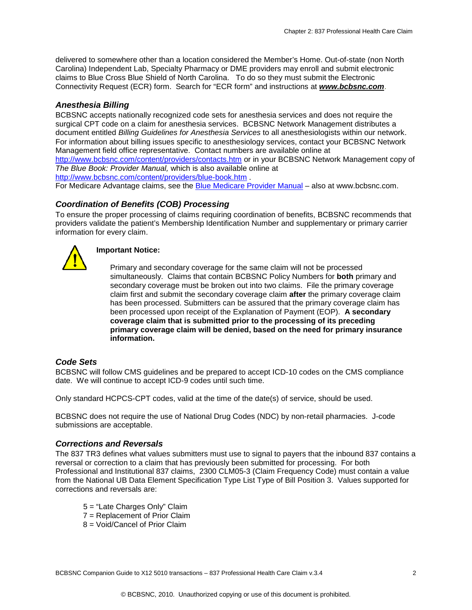delivered to somewhere other than a location considered the Member's Home. Out-of-state (non North Carolina) Independent Lab, Specialty Pharmacy or DME providers may enroll and submit electronic claims to Blue Cross Blue Shield of North Carolina. To do so they must submit the Electronic Connectivity Request (ECR) form. Search for "ECR form" and instructions at *[www.bcbsnc.com](http://www.bcbsnc.com/)*.

#### <span id="page-2-0"></span>*Anesthesia Billing*

BCBSNC accepts nationally recognized code sets for anesthesia services and does not require the surgical CPT code on a claim for anesthesia services. BCBSNC Network Management distributes a document entitled *Billing Guidelines for Anesthesia Services* to all anesthesiologists within our network. For information about billing issues specific to anesthesiology services, contact your BCBSNC Network Management field office representative. Contact numbers are available online at

[http://www.bcbsnc.com/content/providers/contacts.htm](http://www.bcbsnc.com/providers/contacts.cfm) or in your BCBSNC Network Management copy of *The Blue Book: Provider Manual,* which is also available online at

<http://www.bcbsnc.com/content/providers/blue-book.htm> .

<span id="page-2-1"></span>For Medicare Advantage claims, see the [Blue Medicare Provider Manual](http://www.bcbsnc.com/content/providers/blue-medicare-providers/manual-archives.htm) – also at www.bcbsnc.com.

#### *Coordination of Benefits (COB) Processing*

To ensure the proper processing of claims requiring coordination of benefits, BCBSNC recommends that providers validate the patient's Membership Identification Number and supplementary or primary carrier information for every claim.



#### **Important Notice:**

Primary and secondary coverage for the same claim will not be processed simultaneously. Claims that contain BCBSNC Policy Numbers for **both** primary and secondary coverage must be broken out into two claims. File the primary coverage claim first and submit the secondary coverage claim **after** the primary coverage claim has been processed. Submitters can be assured that the primary coverage claim has been processed upon receipt of the Explanation of Payment (EOP). **A secondary coverage claim that is submitted prior to the processing of its preceding primary coverage claim will be denied, based on the need for primary insurance information.**

#### <span id="page-2-2"></span>*Code Sets*

BCBSNC will follow CMS guidelines and be prepared to accept ICD-10 codes on the CMS compliance date. We will continue to accept ICD-9 codes until such time.

Only standard HCPCS-CPT codes, valid at the time of the date(s) of service, should be used.

BCBSNC does not require the use of National Drug Codes (NDC) by non-retail pharmacies. J-code submissions are acceptable.

#### <span id="page-2-3"></span>*Corrections and Reversals*

The 837 TR3 defines what values submitters must use to signal to payers that the inbound 837 contains a reversal or correction to a claim that has previously been submitted for processing. For both Professional and Institutional 837 claims, 2300 CLM05-3 (Claim Frequency Code) must contain a value from the National UB Data Element Specification Type List Type of Bill Position 3. Values supported for corrections and reversals are:

- 5 = "Late Charges Only" Claim
- 7 = Replacement of Prior Claim
- 8 = Void/Cancel of Prior Claim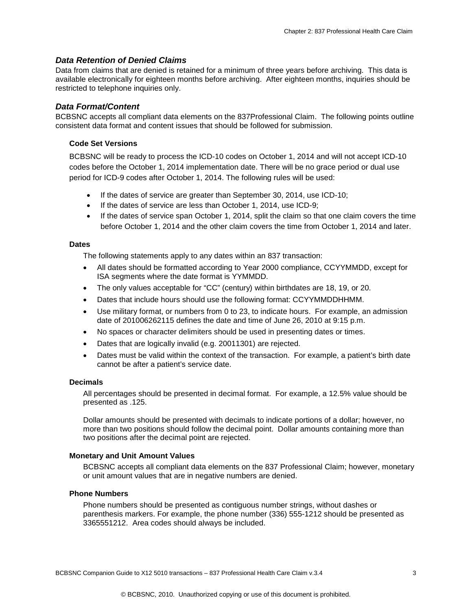#### <span id="page-3-7"></span><span id="page-3-0"></span>*Data Retention of Denied Claims*

Data from claims that are denied is retained for a minimum of three years before archiving. This data is available electronically for eighteen months before archiving. After eighteen months, inquiries should be restricted to telephone inquiries only.

#### <span id="page-3-1"></span>*Data Format/Content*

<span id="page-3-2"></span>BCBSNC accepts all compliant data elements on the 837Professional Claim. The following points outline consistent data format and content issues that should be followed for submission.

#### **Code Set Versions**

BCBSNC will be ready to process the ICD-10 codes on October 1, 2014 and will not accept ICD-10 codes before the October 1, 2014 implementation date. There will be no grace period or dual use period for ICD-9 codes after October 1, 2014. The following rules will be used:

- If the dates of service are greater than September 30, 2014, use ICD-10;
- If the dates of service are less than October 1, 2014, use ICD-9;
- If the dates of service span October 1, 2014, split the claim so that one claim covers the time before October 1, 2014 and the other claim covers the time from October 1, 2014 and later.

#### <span id="page-3-3"></span>**Dates**

The following statements apply to any dates within an 837 transaction:

- All dates should be formatted according to Year 2000 compliance, CCYYMMDD, except for ISA segments where the date format is YYMMDD.
- The only values acceptable for "CC" (century) within birthdates are 18, 19, or 20.
- Dates that include hours should use the following format: CCYYMMDDHHMM.
- Use military format, or numbers from 0 to 23, to indicate hours. For example, an admission date of 201006262115 defines the date and time of June 26, 2010 at 9:15 p.m.
- No spaces or character delimiters should be used in presenting dates or times.
- Dates that are logically invalid (e.g. 20011301) are rejected.
- Dates must be valid within the context of the transaction. For example, a patient's birth date cannot be after a patient's service date.

#### <span id="page-3-4"></span>**Decimals**

All percentages should be presented in decimal format. For example, a 12.5% value should be presented as .125.

Dollar amounts should be presented with decimals to indicate portions of a dollar; however, no more than two positions should follow the decimal point. Dollar amounts containing more than two positions after the decimal point are rejected.

#### <span id="page-3-5"></span>**Monetary and Unit Amount Values**

BCBSNC accepts all compliant data elements on the 837 Professional Claim; however, monetary or unit amount values that are in negative numbers are denied.

#### <span id="page-3-6"></span>**Phone Numbers**

Phone numbers should be presented as contiguous number strings, without dashes or parenthesis markers. For example, the phone number (336) 555-1212 should be presented as 3365551212. Area codes should always be included.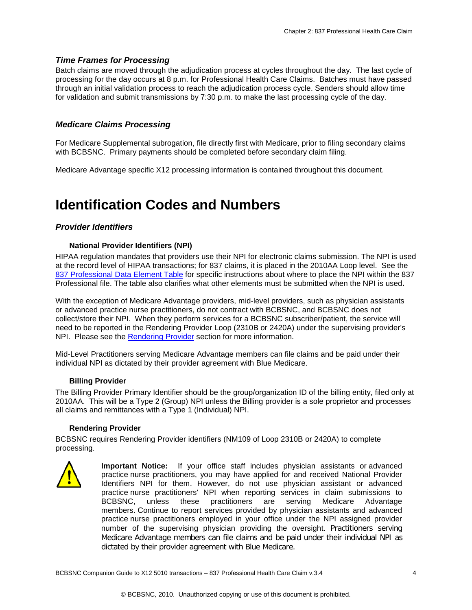#### <span id="page-4-0"></span>*Time Frames for Processing*

Batch claims are moved through the adjudication process at cycles throughout the day. The last cycle of processing for the day occurs at 8 p.m. for Professional Health Care Claims. Batches must have passed through an initial validation process to reach the adjudication process cycle. Senders should allow time for validation and submit transmissions by 7:30 p.m. to make the last processing cycle of the day.

#### <span id="page-4-1"></span>*Medicare Claims Processing*

For Medicare Supplemental subrogation, file directly first with Medicare, prior to filing secondary claims with BCBSNC. Primary payments should be completed before secondary claim filing.

Medicare Advantage specific X12 processing information is contained throughout this document.

### <span id="page-4-2"></span>**Identification Codes and Numbers**

#### <span id="page-4-4"></span><span id="page-4-3"></span>*Provider Identifiers*

#### **National Provider Identifiers (NPI)**

HIPAA regulation mandates that providers use their NPI for electronic claims submission. The NPI is used at the record level of HIPAA transactions; for 837 claims, it is placed in the 2010AA Loop level. See the 837 Professional Data Element Table for specific instructions about where to place the NPI within the 837 Professional file. The table also clarifies what other elements must be submitted when the NPI is used**.** 

With the exception of Medicare Advantage providers, mid-level providers, such as physician assistants or advanced practice nurse practitioners, do not contract with BCBSNC, and BCBSNC does not collect/store their NPI. When they perform services for a BCBSNC subscriber/patient, the service will need to be reported in the Rendering Provider Loop (2310B or 2420A) under the supervising provider's NPI. Please see the [Rendering](#page-4-6) Provider section for more information.

<span id="page-4-5"></span>Mid-Level Practitioners serving Medicare Advantage members can file claims and be paid under their individual NPI as dictated by their provider agreement with Blue Medicare.

#### **Billing Provider**

The Billing Provider Primary Identifier should be the group/organization ID of the billing entity, filed only at 2010AA. This will be a Type 2 (Group) NPI unless the Billing provider is a sole proprietor and processes all claims and remittances with a Type 1 (Individual) NPI.

#### <span id="page-4-6"></span>**Rendering Provider**

BCBSNC requires Rendering Provider identifiers (NM109 of Loop 2310B or 2420A) to complete processing.



**Important Notice:** If your office staff includes physician assistants or advanced practice nurse practitioners, you may have applied for and received National Provider Identifiers NPI for them. However, do not use physician assistant or advanced practice nurse practitioners' NPI when reporting services in claim submissions to BCBSNC, unless these practitioners are serving Medicare Advantage members. Continue to report services provided by physician assistants and advanced practice nurse practitioners employed in your office under the NPI assigned provider number of the supervising physician providing the oversight. Practitioners serving Medicare Advantage members can file claims and be paid under their individual NPI as dictated by their provider agreement with Blue Medicare.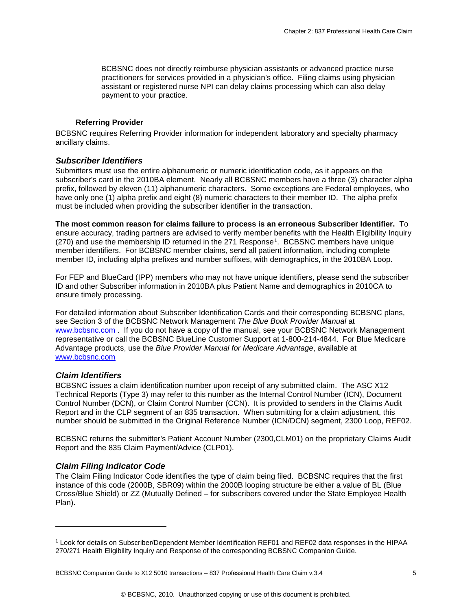<span id="page-5-5"></span>BCBSNC does not directly reimburse physician assistants or advanced practice nurse practitioners for services provided in a physician's office. Filing claims using physician assistant or registered nurse NPI can delay claims processing which can also delay payment to your practice.

#### <span id="page-5-0"></span> **Referring Provider**

BCBSNC requires Referring Provider information for independent laboratory and specialty pharmacy ancillary claims.

#### <span id="page-5-1"></span>*Subscriber Identifiers*

Submitters must use the entire alphanumeric or numeric identification code, as it appears on the subscriber's card in the 2010BA element. Nearly all BCBSNC members have a three (3) character alpha prefix, followed by eleven (11) alphanumeric characters. Some exceptions are Federal employees, who have only one (1) alpha prefix and eight (8) numeric characters to their member ID. The alpha prefix must be included when providing the subscriber identifier in the transaction.

**The most common reason for claims failure to process is an erroneous Subscriber Identifier.** To ensure accuracy, trading partners are advised to verify member benefits with the Health Eligibility Inquiry (270) and use the membership ID returned in the 271 Response[1.](#page-5-4) BCBSNC members have unique member identifiers. For BCBSNC member claims, send all patient information, including complete member ID, including alpha prefixes and number suffixes, with demographics, in the 2010BA Loop.

For FEP and BlueCard (IPP) members who may not have unique identifiers, please send the subscriber ID and other Subscriber information in 2010BA plus Patient Name and demographics in 2010CA to ensure timely processing.

For detailed information about Subscriber Identification Cards and their corresponding BCBSNC plans, see Section 3 of the BCBSNC Network Management *The Blue Book Provider Manual* at [www.bcbsnc.com](http://www.bcbsnc.com/) . If you do not have a copy of the manual, see your BCBSNC Network Management representative or call the BCBSNC BlueLine Customer Support at 1-800-214-4844. For Blue Medicare Advantage products, use the *Blue Provider Manual for Medicare Advantage*, available at [www.bcbsnc.com](http://www.bcbsnc.com/) 

#### <span id="page-5-2"></span>*Claim Identifiers*

j

BCBSNC issues a claim identification number upon receipt of any submitted claim. The ASC X12 Technical Reports (Type 3) may refer to this number as the Internal Control Number (ICN), Document Control Number (DCN), or Claim Control Number (CCN). It is provided to senders in the Claims Audit Report and in the CLP segment of an 835 transaction. When submitting for a claim adjustment, this number should be submitted in the Original Reference Number (ICN/DCN) segment, 2300 Loop, REF02.

BCBSNC returns the submitter's Patient Account Number (2300,CLM01) on the proprietary Claims Audit Report and the 835 Claim Payment/Advice (CLP01).

#### <span id="page-5-3"></span>*Claim Filing Indicator Code*

The Claim Filing Indicator Code identifies the type of claim being filed. BCBSNC requires that the first instance of this code (2000B, SBR09) within the 2000B looping structure be either a value of BL (Blue Cross/Blue Shield) or ZZ (Mutually Defined – for subscribers covered under the State Employee Health Plan).

<span id="page-5-4"></span><sup>1</sup> Look for details on Subscriber/Dependent Member Identification REF01 and REF02 data responses in the HIPAA 270/271 Health Eligibility Inquiry and Response of the corresponding BCBSNC Companion Guide.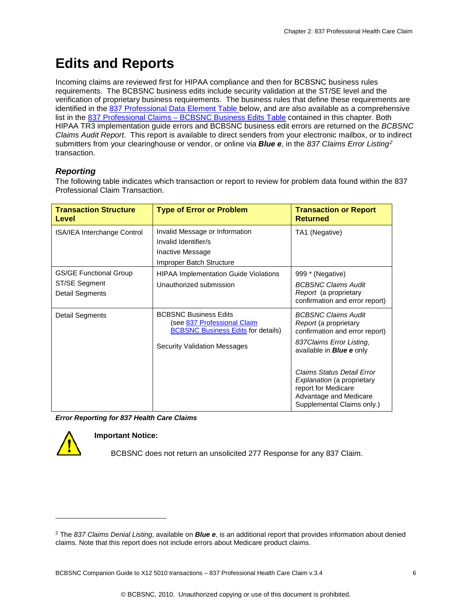# <span id="page-6-0"></span>**Edits and Reports**

Incoming claims are reviewed first for HIPAA compliance and then for BCBSNC business rules requirements. The BCBSNC business edits include security validation at the ST/SE level and the verification of proprietary business requirements. The business rules that define these requirements are identified in the [837 Professional Data Element Table](#page-7-1) below, and are also available as a comprehensive list in the 837 Professional Claims – [BCBSNC Business Edits Table](#page-12-0) contained in this chapter. Both HIPAA TR3 implementation guide errors and BCBSNC business edit errors are returned on the *BCBSNC Claims Audit Report*. This report is available to direct senders from your electronic mailbox, or to indirect submitters from your clearinghouse or vendor, or online via *Blue e*, in the *837 Claims Error Listing[2](#page-6-2)* transaction.

#### <span id="page-6-1"></span>*Reporting*

The following table indicates which transaction or report to review for problem data found within the 837 Professional Claim Transaction.

| <b>Transaction Structure</b><br>Level                             | <b>Type of Error or Problem</b>                                                                                                                 | <b>Transaction or Report</b><br><b>Returned</b>                                                                                                                                                                                                                                                         |
|-------------------------------------------------------------------|-------------------------------------------------------------------------------------------------------------------------------------------------|---------------------------------------------------------------------------------------------------------------------------------------------------------------------------------------------------------------------------------------------------------------------------------------------------------|
| ISA/IEA Interchange Control                                       | Invalid Message or Information<br>Invalid Identifier/s<br>Inactive Message<br>Improper Batch Structure                                          | TA1 (Negative)                                                                                                                                                                                                                                                                                          |
| <b>GS/GE Functional Group</b><br>ST/SE Segment<br>Detail Segments | <b>HIPAA Implementation Guide Violations</b><br>Unauthorized submission                                                                         | 999 * (Negative)<br><b>BCBSNC Claims Audit</b><br>Report (a proprietary<br>confirmation and error report)                                                                                                                                                                                               |
| Detail Segments                                                   | <b>BCBSNC Business Edits</b><br>(see 837 Professional Claim<br><b>BCBSNC Business Edits for details)</b><br><b>Security Validation Messages</b> | <b>BCBSNC Claims Audit</b><br>Report (a proprietary<br>confirmation and error report)<br>837 Claims Error Listing,<br>available in <b>Blue e</b> only<br>Claims Status Detail Error<br><i>Explanation</i> (a proprietary<br>report for Medicare<br>Advantage and Medicare<br>Supplemental Claims only.) |

*Error Reporting for 837 Health Care Claims*



-

#### **Important Notice:**

BCBSNC does not return an unsolicited 277 Response for any 837 Claim.

<span id="page-6-2"></span><sup>2</sup> The *837 Claims Denial Listing*, available on *Blue e*, is an additional report that provides information about denied claims. Note that this report does not include errors about Medicare product claims.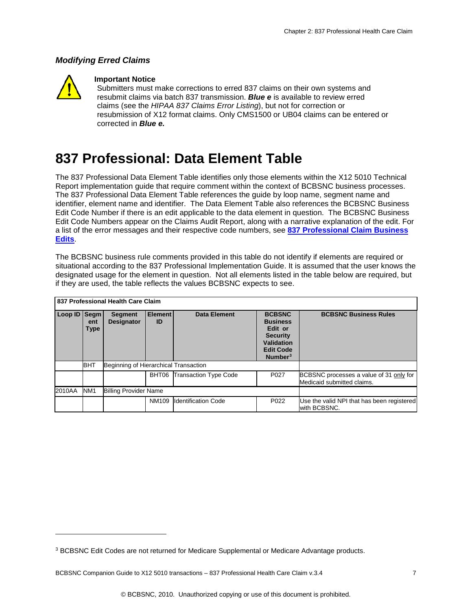#### <span id="page-7-3"></span><span id="page-7-0"></span>*Modifying Erred Claims*



-

#### **Important Notice**

Submitters must make corrections to erred 837 claims on their own systems and resubmit claims via batch 837 transmission. *Blue e* is available to review erred claims (see the *HIPAA 837 Claims Error Listing*), but not for correction or resubmission of X12 format claims. Only CMS1500 or UB04 claims can be entered or corrected in *Blue e.*

### <span id="page-7-1"></span>**837 Professional: Data Element Table**

The 837 Professional Data Element Table identifies only those elements within the X12 5010 Technical Report implementation guide that require comment within the context of BCBSNC business processes. The 837 Professional Data Element Table references the guide by loop name, segment name and identifier, element name and identifier. The Data Element Table also references the BCBSNC Business Edit Code Number if there is an edit applicable to the data element in question. The BCBSNC Business Edit Code Numbers appear on the Claims Audit Report, along with a narrative explanation of the edit. For a list of the error messages and their respective code numbers, see **[837 Professional](#page-12-0) Claim Business [Edits](#page-12-0)**.

The BCBSNC business rule comments provided in this table do not identify if elements are required or situational according to the 837 Professional Implementation Guide. It is assumed that the user knows the designated usage for the element in question. Not all elements listed in the table below are required, but if they are used, the table reflects the values BCBSNC expects to see.

|                                                           |                    | 837 Professional Health Care Claim    |                      |                              |                                                                                                                       |                                                                       |
|-----------------------------------------------------------|--------------------|---------------------------------------|----------------------|------------------------------|-----------------------------------------------------------------------------------------------------------------------|-----------------------------------------------------------------------|
| Loop ID   Segm                                            | ent<br><b>Type</b> | <b>Segment</b><br><b>Designator</b>   | <b>Element</b><br>ID | <b>Data Element</b>          | <b>BCBSNC</b><br><b>Business</b><br>Edit or<br><b>Security</b><br><b>Validation</b><br><b>Edit Code</b><br>Number $3$ | <b>BCBSNC Business Rules</b>                                          |
|                                                           | <b>BHT</b>         | Beginning of Hierarchical Transaction |                      |                              |                                                                                                                       |                                                                       |
|                                                           |                    |                                       | BHT06                | <b>Transaction Type Code</b> | P <sub>027</sub>                                                                                                      | BCBSNC processes a value of 31 only for<br>Medicaid submitted claims. |
| 2010AA<br>NM <sub>1</sub><br><b>Billing Provider Name</b> |                    |                                       |                      |                              |                                                                                                                       |                                                                       |
|                                                           |                    |                                       | NM109                | <b>Identification Code</b>   | P022                                                                                                                  | Use the valid NPI that has been registered<br>with BCBSNC.            |

<span id="page-7-2"></span><sup>&</sup>lt;sup>3</sup> BCBSNC Edit Codes are not returned for Medicare Supplemental or Medicare Advantage products.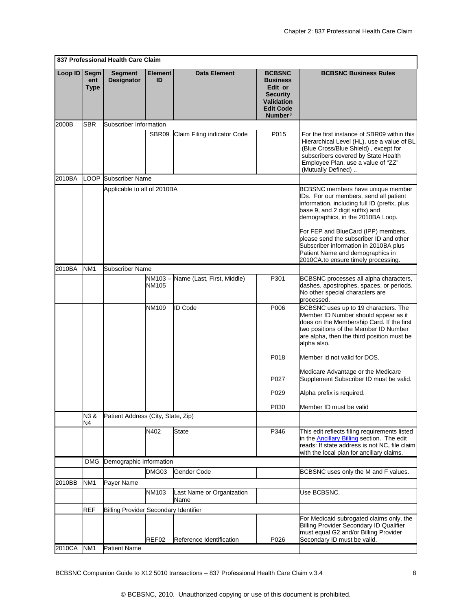|         |                                   | 837 Professional Health Care Claim           |                      |                                   |                                                                                                                                |                                                                                                                                                                                                                                                                                                                                                                                                           |
|---------|-----------------------------------|----------------------------------------------|----------------------|-----------------------------------|--------------------------------------------------------------------------------------------------------------------------------|-----------------------------------------------------------------------------------------------------------------------------------------------------------------------------------------------------------------------------------------------------------------------------------------------------------------------------------------------------------------------------------------------------------|
| Loop ID | <b>Segm</b><br>ent<br><b>Type</b> | <b>Segment</b><br>Designator                 | <b>Element</b><br>ID | <b>Data Element</b>               | <b>BCBSNC</b><br><b>Business</b><br>Edit or<br><b>Security</b><br><b>Validation</b><br><b>Edit Code</b><br>Number <sup>3</sup> | <b>BCBSNC Business Rules</b>                                                                                                                                                                                                                                                                                                                                                                              |
| 2000B   | <b>SBR</b>                        | Subscriber Information                       |                      |                                   |                                                                                                                                |                                                                                                                                                                                                                                                                                                                                                                                                           |
|         |                                   |                                              | SBR09                | Claim Filing indicator Code       | P015                                                                                                                           | For the first instance of SBR09 within this<br>Hierarchical Level (HL), use a value of BL<br>(Blue Cross/Blue Shield), except for<br>subscribers covered by State Health<br>Employee Plan, use a value of "ZZ"<br>(Mutually Defined)                                                                                                                                                                      |
| 2010BA  | LOOP                              | <b>Subscriber Name</b>                       |                      |                                   |                                                                                                                                |                                                                                                                                                                                                                                                                                                                                                                                                           |
|         |                                   | Applicable to all of 2010BA                  |                      |                                   |                                                                                                                                | BCBSNC members have unique member<br>IDs. For our members, send all patient<br>information, including full ID (prefix, plus<br>base 9, and 2 digit suffix) and<br>demographics, in the 2010BA Loop.<br>For FEP and BlueCard (IPP) members,<br>please send the subscriber ID and other<br>Subscriber information in 2010BA plus<br>Patient Name and demographics in<br>2010CA.to ensure timely processing. |
| 2010BA  | NM <sub>1</sub>                   | Subscriber Name                              |                      |                                   |                                                                                                                                |                                                                                                                                                                                                                                                                                                                                                                                                           |
|         |                                   |                                              | NM103 –<br>NM105     | Name (Last, First, Middle)        | P301                                                                                                                           | BCBSNC processes all alpha characters,<br>dashes, apostrophes, spaces, or periods.<br>No other special characters are<br>processed.                                                                                                                                                                                                                                                                       |
|         |                                   |                                              | NM109                | <b>ID Code</b>                    | P006                                                                                                                           | BCBSNC uses up to 19 characters. The<br>Member ID Number should appear as it<br>does on the Membership Card. If the first<br>two positions of the Member ID Number<br>are alpha, then the third position must be<br>alpha also.                                                                                                                                                                           |
|         |                                   |                                              |                      |                                   | P018                                                                                                                           | Member id not valid for DOS.                                                                                                                                                                                                                                                                                                                                                                              |
|         |                                   |                                              |                      |                                   | P027                                                                                                                           | Medicare Advantage or the Medicare<br>Supplement Subscriber ID must be valid.                                                                                                                                                                                                                                                                                                                             |
|         |                                   |                                              |                      |                                   | P029                                                                                                                           | Alpha prefix is required.                                                                                                                                                                                                                                                                                                                                                                                 |
|         |                                   |                                              |                      |                                   | P030                                                                                                                           | Member ID must be valid                                                                                                                                                                                                                                                                                                                                                                                   |
|         | N3&<br>N4                         | Patient Address (City, State, Zip)           |                      |                                   |                                                                                                                                |                                                                                                                                                                                                                                                                                                                                                                                                           |
|         |                                   |                                              | N402                 | <b>State</b>                      | P346                                                                                                                           | This edit reflects filing requirements listed<br>in the <b>Ancillary Billing</b> section. The edit<br>reads: If state address is not NC, file claim<br>with the local plan for ancillary claims.                                                                                                                                                                                                          |
|         | <b>DMG</b>                        | Demographic Information                      |                      |                                   |                                                                                                                                |                                                                                                                                                                                                                                                                                                                                                                                                           |
|         |                                   |                                              | DMG03                | Gender Code                       |                                                                                                                                | BCBSNC uses only the M and F values.                                                                                                                                                                                                                                                                                                                                                                      |
| 2010BB  | NM <sub>1</sub>                   | Payer Name                                   |                      |                                   |                                                                                                                                |                                                                                                                                                                                                                                                                                                                                                                                                           |
|         |                                   |                                              | NM103                | Last Name or Organization<br>Name |                                                                                                                                | Use BCBSNC.                                                                                                                                                                                                                                                                                                                                                                                               |
|         | <b>REF</b>                        | <b>Billing Provider Secondary Identifier</b> |                      |                                   |                                                                                                                                |                                                                                                                                                                                                                                                                                                                                                                                                           |
|         |                                   |                                              | REF02                | Reference Identification          | P026                                                                                                                           | For Medicaid subrogated claims only, the<br><b>Billing Provider Secondary ID Qualifier</b><br>must equal G2 and/or Billing Provider<br>Secondary ID must be valid.                                                                                                                                                                                                                                        |
| 2010CA  | NM <sub>1</sub>                   | <b>Patient Name</b>                          |                      |                                   |                                                                                                                                |                                                                                                                                                                                                                                                                                                                                                                                                           |

BCBSNC Companion Guide to X12 5010 transactions - 837 Professional Health Care Claim v.3.4 8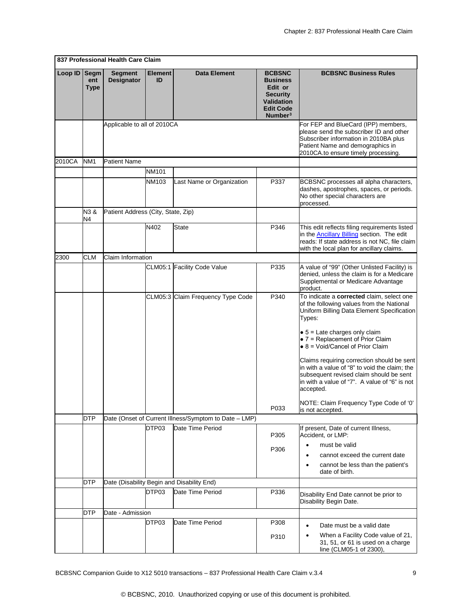|         |                            | 837 Professional Health Care Claim  |                      |                                                       |                                                                                                                                |                                                                                                                                                                                                      |
|---------|----------------------------|-------------------------------------|----------------------|-------------------------------------------------------|--------------------------------------------------------------------------------------------------------------------------------|------------------------------------------------------------------------------------------------------------------------------------------------------------------------------------------------------|
| Loop ID | Segm<br>ent<br><b>Type</b> | <b>Segment</b><br><b>Designator</b> | <b>Element</b><br>ID | <b>Data Element</b>                                   | <b>BCBSNC</b><br><b>Business</b><br>Edit or<br><b>Security</b><br><b>Validation</b><br><b>Edit Code</b><br>Number <sup>3</sup> | <b>BCBSNC Business Rules</b>                                                                                                                                                                         |
|         |                            | Applicable to all of 2010CA         |                      |                                                       |                                                                                                                                | For FEP and BlueCard (IPP) members,<br>please send the subscriber ID and other<br>Subscriber information in 2010BA plus<br>Patient Name and demographics in<br>2010CA.to ensure timely processing.   |
| 2010CA  | NM <sub>1</sub>            | Patient Name                        |                      |                                                       |                                                                                                                                |                                                                                                                                                                                                      |
|         |                            |                                     | <b>NM101</b>         |                                                       |                                                                                                                                |                                                                                                                                                                                                      |
|         |                            |                                     | NM103                | Last Name or Organization                             | P337                                                                                                                           | BCBSNC processes all alpha characters,<br>dashes, apostrophes, spaces, or periods.<br>No other special characters are<br>processed.                                                                  |
|         | N3 &<br>N4                 | Patient Address (City, State, Zip)  |                      |                                                       |                                                                                                                                |                                                                                                                                                                                                      |
|         |                            |                                     | N402                 | State                                                 | P346                                                                                                                           | This edit reflects filing requirements listed<br>in the <b>Ancillary Billing</b> section. The edit<br>reads: If state address is not NC, file claim<br>with the local plan for ancillary claims.     |
| 2300    | <b>CLM</b>                 | Claim Information                   |                      |                                                       |                                                                                                                                |                                                                                                                                                                                                      |
|         |                            |                                     |                      | CLM05:1 Facility Code Value                           | P335                                                                                                                           | A value of "99" (Other Unlisted Facility) is<br>denied, unless the claim is for a Medicare<br>Supplemental or Medicare Advantage<br>product.                                                         |
|         |                            |                                     |                      | CLM05:3 Claim Frequency Type Code                     | P340                                                                                                                           | To indicate a corrected claim, select one<br>of the following values from the National<br>Uniform Billing Data Element Specification<br>Types:                                                       |
|         |                            |                                     |                      |                                                       |                                                                                                                                | $\bullet$ 5 = Late charges only claim<br>$\bullet$ 7 = Replacement of Prior Claim<br>$\bullet$ 8 = Void/Cancel of Prior Claim                                                                        |
|         |                            |                                     |                      |                                                       |                                                                                                                                | Claims requiring correction should be sent<br>in with a value of "8" to void the claim; the<br>subsequent revised claim should be sent<br>in with a value of "7". A value of "6" is not<br>accepted. |
|         |                            |                                     |                      |                                                       | P033                                                                                                                           | NOTE: Claim Frequency Type Code of '0'<br>is not accepted.                                                                                                                                           |
|         | DTP                        |                                     |                      | Date (Onset of Current Illness/Symptom to Date - LMP) |                                                                                                                                |                                                                                                                                                                                                      |
|         |                            |                                     | DTP03                | Date Time Period                                      | P305                                                                                                                           | If present, Date of current Illness,<br>Accident, or LMP:                                                                                                                                            |
|         |                            |                                     |                      |                                                       | P306                                                                                                                           | must be valid<br>cannot exceed the current date                                                                                                                                                      |
|         |                            |                                     |                      |                                                       |                                                                                                                                | ٠<br>cannot be less than the patient's<br>٠<br>date of birth.                                                                                                                                        |
|         | DTP                        |                                     |                      | Date (Disability Begin and Disability End)            |                                                                                                                                |                                                                                                                                                                                                      |
|         |                            |                                     | DTP03                | Date Time Period                                      | P336                                                                                                                           | Disability End Date cannot be prior to<br>Disability Begin Date.                                                                                                                                     |
|         | <b>DTP</b>                 | Date - Admission                    |                      |                                                       |                                                                                                                                |                                                                                                                                                                                                      |
|         |                            |                                     | DTP03                | Date Time Period                                      | P308                                                                                                                           | Date must be a valid date<br>$\bullet$                                                                                                                                                               |
|         |                            |                                     |                      |                                                       | P310                                                                                                                           | When a Facility Code value of 21,<br>٠<br>31, 51, or 61 is used on a charge<br>line (CLM05-1 of 2300),                                                                                               |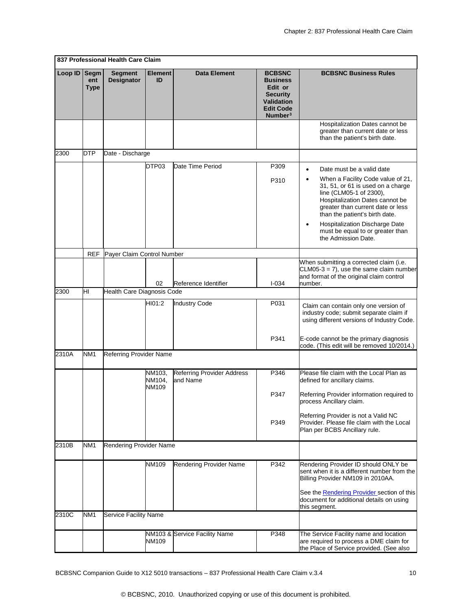|         |                            | 837 Professional Health Care Claim  |                           |                                        |                                                                                                                                |                                                                                                                                                                                                                                                                                                     |
|---------|----------------------------|-------------------------------------|---------------------------|----------------------------------------|--------------------------------------------------------------------------------------------------------------------------------|-----------------------------------------------------------------------------------------------------------------------------------------------------------------------------------------------------------------------------------------------------------------------------------------------------|
| Loop ID | Segm<br>ent<br><b>Type</b> | <b>Segment</b><br><b>Designator</b> | <b>Element</b><br>ID      | Data Element                           | <b>BCBSNC</b><br><b>Business</b><br>Edit or<br><b>Security</b><br><b>Validation</b><br><b>Edit Code</b><br>Number <sup>3</sup> | <b>BCBSNC Business Rules</b>                                                                                                                                                                                                                                                                        |
|         |                            |                                     |                           |                                        |                                                                                                                                | Hospitalization Dates cannot be<br>greater than current date or less<br>than the patient's birth date.                                                                                                                                                                                              |
| 2300    | <b>DTP</b>                 | Date - Discharge                    |                           |                                        |                                                                                                                                |                                                                                                                                                                                                                                                                                                     |
|         |                            |                                     | DTP03                     | Date Time Period                       | P309                                                                                                                           | Date must be a valid date<br>$\bullet$                                                                                                                                                                                                                                                              |
|         |                            |                                     |                           |                                        | P310                                                                                                                           | When a Facility Code value of 21,<br>٠<br>31, 51, or 61 is used on a charge<br>line (CLM05-1 of 2300),<br>Hospitalization Dates cannot be<br>greater than current date or less<br>than the patient's birth date.<br>Hospitalization Discharge Date<br>$\bullet$<br>must be equal to or greater than |
|         |                            |                                     |                           |                                        |                                                                                                                                | the Admission Date.                                                                                                                                                                                                                                                                                 |
|         | <b>REF</b>                 | Payer Claim Control Number          |                           |                                        |                                                                                                                                |                                                                                                                                                                                                                                                                                                     |
|         |                            |                                     |                           |                                        |                                                                                                                                | When submitting a corrected claim (i.e.<br>$CLM05-3 = 7$ , use the same claim number<br>and format of the original claim control                                                                                                                                                                    |
| 2300    | НI                         | Health Care Diagnosis Code          | 02                        | Reference Identifier                   | $I - 034$                                                                                                                      | number.                                                                                                                                                                                                                                                                                             |
|         |                            |                                     | HI01:2                    | <b>Industry Code</b>                   | P031                                                                                                                           | Claim can contain only one version of<br>industry code; submit separate claim if<br>using different versions of Industry Code.                                                                                                                                                                      |
|         |                            |                                     |                           |                                        | P341                                                                                                                           | E-code cannot be the primary diagnosis<br>code. (This edit will be removed 10/2014.)                                                                                                                                                                                                                |
| 2310A   | NM <sub>1</sub>            | Referring Provider Name             |                           |                                        |                                                                                                                                |                                                                                                                                                                                                                                                                                                     |
|         |                            |                                     | NM103,<br>NM104,<br>NM109 | Referring Provider Address<br>and Name | P346                                                                                                                           | Please file claim with the Local Plan as<br>defined for ancillary claims.                                                                                                                                                                                                                           |
|         |                            |                                     |                           |                                        | P347                                                                                                                           | Referring Provider information required to<br>process Ancillary claim.                                                                                                                                                                                                                              |
|         |                            |                                     |                           |                                        | P349                                                                                                                           | Referring Provider is not a Valid NC<br>Provider. Please file claim with the Local<br>Plan per BCBS Ancillary rule.                                                                                                                                                                                 |
| 2310B   | NM <sub>1</sub>            | Rendering Provider Name             |                           |                                        |                                                                                                                                |                                                                                                                                                                                                                                                                                                     |
|         |                            |                                     | NM109                     | Rendering Provider Name                | P342                                                                                                                           | Rendering Provider ID should ONLY be<br>sent when it is a different number from the<br>Billing Provider NM109 in 2010AA.<br>See the <b>Rendering Provider</b> section of this<br>document for additional details on using                                                                           |
| 2310C   | NM <sub>1</sub>            | <b>Service Facility Name</b>        |                           |                                        |                                                                                                                                | this segment.                                                                                                                                                                                                                                                                                       |
|         |                            |                                     | NM109                     | NM103 & Service Facility Name          | P348                                                                                                                           | The Service Facility name and location<br>are required to process a DME claim for<br>the Place of Service provided. (See also                                                                                                                                                                       |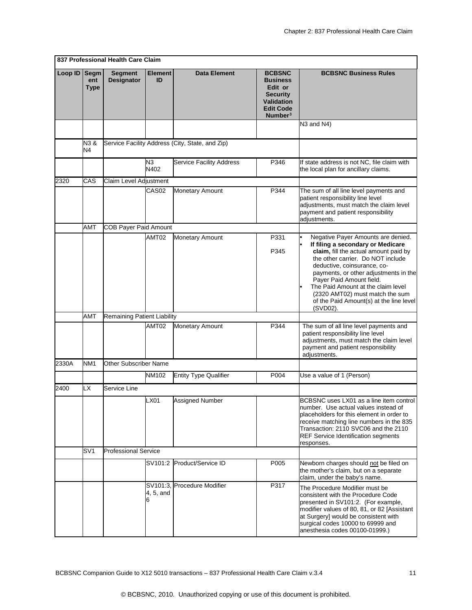|         |                                                                                    | 837 Professional Health Care Claim |                       |                                                                                                                                |                              |                                                                                                                                                                                                                                                                                                                                                                                           |
|---------|------------------------------------------------------------------------------------|------------------------------------|-----------------------|--------------------------------------------------------------------------------------------------------------------------------|------------------------------|-------------------------------------------------------------------------------------------------------------------------------------------------------------------------------------------------------------------------------------------------------------------------------------------------------------------------------------------------------------------------------------------|
| Loop ID | Segm<br><b>Segment</b><br><b>Element</b><br>Designator<br>ID<br>ent<br><b>Type</b> |                                    | <b>Data Element</b>   | <b>BCBSNC</b><br><b>Business</b><br>Edit or<br><b>Security</b><br><b>Validation</b><br><b>Edit Code</b><br>Number <sup>3</sup> | <b>BCBSNC Business Rules</b> |                                                                                                                                                                                                                                                                                                                                                                                           |
|         |                                                                                    |                                    |                       |                                                                                                                                |                              | N3 and N4)                                                                                                                                                                                                                                                                                                                                                                                |
|         | N3&<br>N4                                                                          |                                    |                       | Service Facility Address (City, State, and Zip)                                                                                |                              |                                                                                                                                                                                                                                                                                                                                                                                           |
|         |                                                                                    |                                    | N3<br>N402            | <b>Service Facility Address</b>                                                                                                | P346                         | If state address is not NC, file claim with<br>the local plan for ancillary claims.                                                                                                                                                                                                                                                                                                       |
| 2320    | CAS                                                                                | Claim Level Adjustment             |                       |                                                                                                                                |                              |                                                                                                                                                                                                                                                                                                                                                                                           |
|         |                                                                                    |                                    | CAS <sub>02</sub>     | Monetary Amount                                                                                                                | P344                         | The sum of all line level payments and<br>patient responsibility line level<br>adjustments, must match the claim level<br>payment and patient responsibility<br>adjustments.                                                                                                                                                                                                              |
|         | AMT                                                                                | <b>COB Payer Paid Amount</b>       |                       |                                                                                                                                |                              |                                                                                                                                                                                                                                                                                                                                                                                           |
|         |                                                                                    |                                    | AMT02                 | Monetary Amount                                                                                                                | P331<br>P345                 | Negative Payer Amounts are denied.<br>If filing a secondary or Medicare<br>claim, fill the actual amount paid by<br>the other carrier. Do NOT include<br>deductive, coinsurance, co-<br>payments, or other adjustments in the<br>Payer Paid Amount field.<br>The Paid Amount at the claim level<br>(2320 AMT02) must match the sum<br>of the Paid Amount(s) at the line level<br>(SVD02). |
|         | AMT                                                                                | Remaining Patient Liability        |                       |                                                                                                                                |                              |                                                                                                                                                                                                                                                                                                                                                                                           |
|         |                                                                                    |                                    | AMT02                 | Monetary Amount                                                                                                                | P344                         | The sum of all line level payments and<br>patient responsibility line level<br>adjustments, must match the claim level<br>payment and patient responsibility<br>adjustments.                                                                                                                                                                                                              |
| 2330A   | NM <sub>1</sub>                                                                    | Other Subscriber Name              |                       |                                                                                                                                |                              |                                                                                                                                                                                                                                                                                                                                                                                           |
|         |                                                                                    |                                    | NM102                 | <b>Entity Type Qualifier</b>                                                                                                   | P004                         | Use a value of 1 (Person)                                                                                                                                                                                                                                                                                                                                                                 |
| 2400    | LX                                                                                 | Service Line                       |                       |                                                                                                                                |                              |                                                                                                                                                                                                                                                                                                                                                                                           |
|         |                                                                                    |                                    | LX01                  | Assigned Number                                                                                                                |                              | BCBSNC uses LX01 as a line item control<br>number. Use actual values instead of<br>placeholders for this element in order to<br>receive matching line numbers in the 835<br>Transaction: 2110 SVC06 and the 2110<br><b>REF Service Identification segments</b><br>responses.                                                                                                              |
|         | SV <sub>1</sub>                                                                    | <b>Professional Service</b>        |                       |                                                                                                                                |                              |                                                                                                                                                                                                                                                                                                                                                                                           |
|         |                                                                                    |                                    | SV101:2               | Product/Service ID                                                                                                             | P005                         | Newborn charges should not be filed on<br>the mother's claim, but on a separate<br>claim, under the baby's name.                                                                                                                                                                                                                                                                          |
|         |                                                                                    |                                    | SV101:3.<br>4, 5, and | <b>Procedure Modifier</b>                                                                                                      | P317                         | The Procedure Modifier must be<br>consistent with the Procedure Code<br>presented in SV101:2. (For example,<br>modifier values of 80, 81, or 82 [Assistant<br>at Surgery] would be consistent with<br>surgical codes 10000 to 69999 and<br>anesthesia codes 00100-01999.)                                                                                                                 |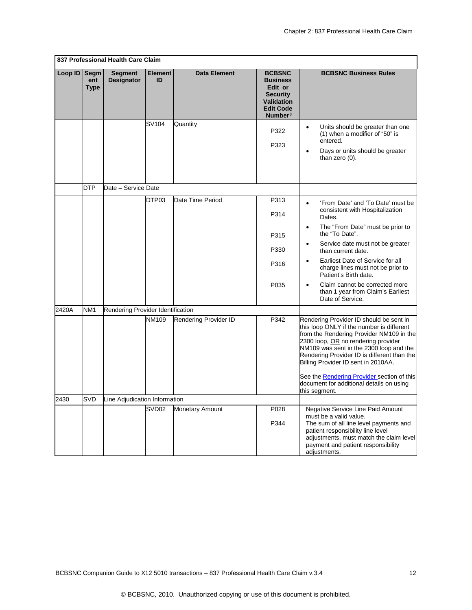<span id="page-12-0"></span>

|         |                            | 837 Professional Health Care Claim  |                      |                        |                                                                                                                                |                                                                                                                                                                                                                                                                                                                                                                                                                            |
|---------|----------------------------|-------------------------------------|----------------------|------------------------|--------------------------------------------------------------------------------------------------------------------------------|----------------------------------------------------------------------------------------------------------------------------------------------------------------------------------------------------------------------------------------------------------------------------------------------------------------------------------------------------------------------------------------------------------------------------|
| Loop ID | Segm<br>ent<br><b>Type</b> | <b>Segment</b><br><b>Designator</b> | <b>Element</b><br>ID | Data Element           | <b>BCBSNC</b><br><b>Business</b><br>Edit or<br><b>Security</b><br><b>Validation</b><br><b>Edit Code</b><br>Number <sup>3</sup> | <b>BCBSNC Business Rules</b>                                                                                                                                                                                                                                                                                                                                                                                               |
|         |                            |                                     | SV104                | Quantity               | P322<br>P323                                                                                                                   | Units should be greater than one<br>$\bullet$<br>(1) when a modifier of "50" is<br>entered.<br>Days or units should be greater<br>$\bullet$<br>than zero (0).                                                                                                                                                                                                                                                              |
|         | <b>DTP</b>                 | Date - Service Date                 |                      |                        |                                                                                                                                |                                                                                                                                                                                                                                                                                                                                                                                                                            |
|         |                            |                                     | DTP03                | Date Time Period       | P313<br>P314                                                                                                                   | 'From Date' and 'To Date' must be<br>$\bullet$<br>consistent with Hospitalization<br>Dates.                                                                                                                                                                                                                                                                                                                                |
|         |                            |                                     |                      |                        | P315                                                                                                                           | The "From Date" must be prior to<br>$\bullet$<br>the "To Date".                                                                                                                                                                                                                                                                                                                                                            |
|         |                            |                                     |                      |                        | P330                                                                                                                           | Service date must not be greater<br>$\bullet$<br>than current date.                                                                                                                                                                                                                                                                                                                                                        |
|         |                            |                                     |                      |                        | P316                                                                                                                           | Earliest Date of Service for all<br>$\bullet$<br>charge lines must not be prior to<br>Patient's Birth date.                                                                                                                                                                                                                                                                                                                |
|         |                            |                                     |                      |                        | P035                                                                                                                           | Claim cannot be corrected more<br>than 1 year from Claim's Earliest<br>Date of Service.                                                                                                                                                                                                                                                                                                                                    |
| 2420A   | NM <sub>1</sub>            | Rendering Provider Identification   |                      |                        |                                                                                                                                |                                                                                                                                                                                                                                                                                                                                                                                                                            |
|         |                            |                                     | NM109                | Rendering Provider ID  | P342                                                                                                                           | Rendering Provider ID should be sent in<br>this loop ONLY if the number is different<br>from the Rendering Provider NM109 in the<br>2300 loop, OR no rendering provider<br>NM109 was sent in the 2300 loop and the<br>Rendering Provider ID is different than the<br>Billing Provider ID sent in 2010AA.<br>See the <b>Rendering Provider</b> section of this<br>document for additional details on using<br>this segment. |
| 2430    | <b>SVD</b>                 | Line Adjudication Information       |                      |                        |                                                                                                                                |                                                                                                                                                                                                                                                                                                                                                                                                                            |
|         |                            |                                     | SVD <sub>02</sub>    | <b>Monetary Amount</b> | P028<br>P344                                                                                                                   | Negative Service Line Paid Amount<br>must be a valid value.<br>The sum of all line level payments and<br>patient responsibility line level<br>adjustments, must match the claim level<br>payment and patient responsibility<br>adjustments.                                                                                                                                                                                |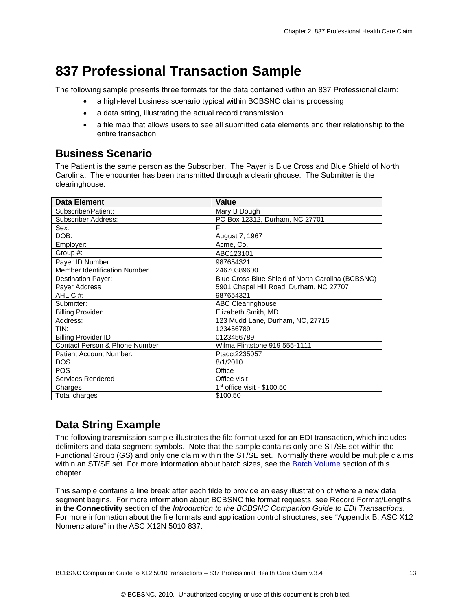### <span id="page-13-0"></span>**837 Professional Transaction Sample**

The following sample presents three formats for the data contained within an 837 Professional claim:

- a high-level business scenario typical within BCBSNC claims processing
- a data string, illustrating the actual record transmission
- a file map that allows users to see all submitted data elements and their relationship to the entire transaction

### <span id="page-13-1"></span>**Business Scenario**

The Patient is the same person as the Subscriber. The Payer is Blue Cross and Blue Shield of North Carolina. The encounter has been transmitted through a clearinghouse. The Submitter is the clearinghouse.

| <b>Data Element</b>                 | Value                                             |
|-------------------------------------|---------------------------------------------------|
| Subscriber/Patient:                 | Mary B Dough                                      |
| Subscriber Address:                 | PO Box 12312, Durham, NC 27701                    |
| Sex:                                | F                                                 |
| DOB:                                | August 7, 1967                                    |
| Employer:                           | Acme, Co.                                         |
| Group #:                            | ABC123101                                         |
| Payer ID Number:                    | 987654321                                         |
| <b>Member Identification Number</b> | 24670389600                                       |
| Destination Payer:                  | Blue Cross Blue Shield of North Carolina (BCBSNC) |
| Payer Address                       | 5901 Chapel Hill Road, Durham, NC 27707           |
| AHLIC #:                            | 987654321                                         |
| Submitter:                          | <b>ABC Clearinghouse</b>                          |
| <b>Billing Provider:</b>            | Elizabeth Smith, MD                               |
| Address:                            | 123 Mudd Lane, Durham, NC, 27715                  |
| TIN:                                | 123456789                                         |
| <b>Billing Provider ID</b>          | 0123456789                                        |
| Contact Person & Phone Number       | Wilma Flintstone 919 555-1111                     |
| <b>Patient Account Number:</b>      | Ptacct2235057                                     |
| <b>DOS</b>                          | 8/1/2010                                          |
| <b>POS</b>                          | Office                                            |
| Services Rendered                   | Office visit                                      |
| Charges                             | $1st$ office visit - \$100.50                     |
| Total charges                       | \$100.50                                          |

### <span id="page-13-2"></span>**Data String Example**

The following transmission sample illustrates the file format used for an EDI transaction, which includes delimiters and data segment symbols. Note that the sample contains only one ST/SE set within the Functional Group (GS) and only one claim within the ST/SE set. Normally there would be multiple claims within an ST/SE set. For more information about batch sizes, see the [Batch Volume](#page-2-1) section of this chapter.

This sample contains a line break after each tilde to provide an easy illustration of where a new data segment begins. For more information about BCBSNC file format requests, see Record Format/Lengths in the **Connectivity** section of the *Introduction to the BCBSNC Companion Guide to EDI Transactions*. For more information about the file formats and application control structures, see "Appendix B: ASC X12 Nomenclature" in the ASC X12N 5010 837.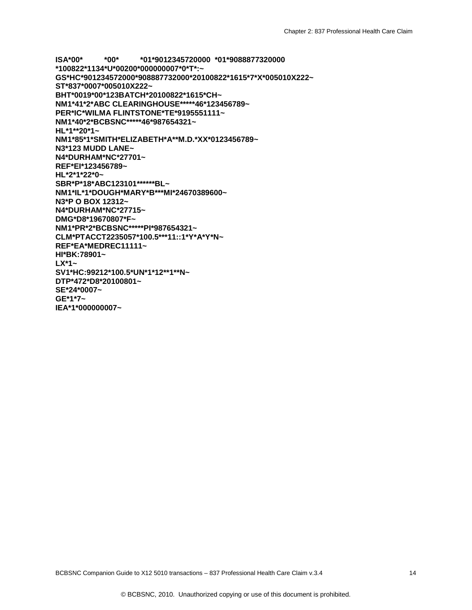**ISA\*00\* \*00\* \*01\*9012345720000 \*01\*9088877320000 \*100822\*1134\*U\*00200\*000000007\*0\*T\*:~ GS\*HC\*901234572000\*908887732000\*20100822\*1615\*7\*X\*005010X222~ ST\*837\*0007\*005010X222~ BHT\*0019\*00\*123BATCH\*20100822\*1615\*CH~ NM1\*41\*2\*ABC CLEARINGHOUSE\*\*\*\*\*46\*123456789~ PER\*IC\*WILMA FLINTSTONE\*TE\*9195551111~ NM1\*40\*2\*BCBSNC\*\*\*\*\*46\*987654321~ HL\*1\*\*20\*1~ NM1\*85\*1\*SMITH\*ELIZABETH\*A\*\*M.D.\*XX\*0123456789~ N3\*123 MUDD LANE~ N4\*DURHAM\*NC\*27701~ REF\*EI\*123456789~ HL\*2\*1\*22\*0~ SBR\*P\*18\*ABC123101\*\*\*\*\*\*BL~ NM1\*IL\*1\*DOUGH\*MARY\*B\*\*\*MI\*24670389600~ N3\*P O BOX 12312~ N4\*DURHAM\*NC\*27715~ DMG\*D8\*19670807\*F~ NM1\*PR\*2\*BCBSNC\*\*\*\*\*PI\*987654321~ CLM\*PTACCT2235057\*100.5\*\*\*11::1\*Y\*A\*Y\*N~ REF\*EA\*MEDREC11111~ HI\*BK:78901~ LX\*1~ SV1\*HC:99212\*100.5\*UN\*1\*12\*\*1\*\*N~ DTP\*472\*D8\*20100801~ SE\*24\*0007~ GE\*1\*7~ IEA\*1\*000000007~**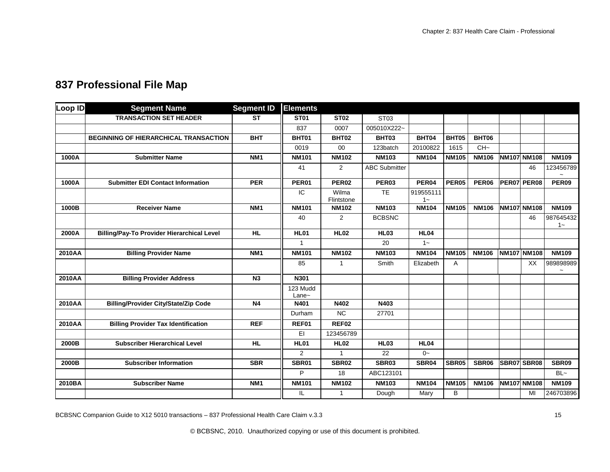<span id="page-15-0"></span>

| Loop ID | <b>Segment Name</b>                               | <b>Segment ID</b> | <b>Elements</b>     |                     |                      |                    |                   |                   |                    |                          |
|---------|---------------------------------------------------|-------------------|---------------------|---------------------|----------------------|--------------------|-------------------|-------------------|--------------------|--------------------------|
|         | <b>TRANSACTION SET HEADER</b>                     | <b>ST</b>         | <b>ST01</b>         | <b>ST02</b>         | ST <sub>03</sub>     |                    |                   |                   |                    |                          |
|         |                                                   |                   | 837                 | 0007                | 005010X222~          |                    |                   |                   |                    |                          |
|         | BEGINNING OF HIERARCHICAL TRANSACTION             | <b>BHT</b>        | BHT01               | BHT02               | BHT03                | BHT04              | BHT05             | <b>BHT06</b>      |                    |                          |
|         |                                                   |                   | 0019                | 00                  | 123batch             | 20100822           | 1615              | $CH-$             |                    |                          |
| 1000A   | <b>Submitter Name</b>                             | NM <sub>1</sub>   | <b>NM101</b>        | <b>NM102</b>        | <b>NM103</b>         | <b>NM104</b>       | <b>NM105</b>      | <b>NM106</b>      | <b>NM107 NM108</b> | <b>NM109</b>             |
|         |                                                   |                   | 41                  | 2                   | <b>ABC Submitter</b> |                    |                   |                   | 46                 | 123456789                |
| 1000A   | <b>Submitter EDI Contact Information</b>          | <b>PER</b>        | PER01               | PER <sub>02</sub>   | PER03                | PER <sub>04</sub>  | PER <sub>05</sub> | PER <sub>06</sub> | <b>PER07 PER08</b> | PER <sub>09</sub>        |
|         |                                                   |                   | IC.                 | Wilma<br>Flintstone | <b>TE</b>            | 919555111<br>$1 -$ |                   |                   |                    |                          |
| 1000B   | <b>Receiver Name</b>                              | NM <sub>1</sub>   | <b>NM101</b>        | <b>NM102</b>        | <b>NM103</b>         | <b>NM104</b>       | <b>NM105</b>      | <b>NM106</b>      | NM107 NM108        | <b>NM109</b>             |
|         |                                                   |                   | 40                  | $\overline{2}$      | <b>BCBSNC</b>        |                    |                   |                   | 46                 | 987645432<br>$1 -$       |
| 2000A   | <b>Billing/Pay-To Provider Hierarchical Level</b> | <b>HL</b>         | <b>HL01</b>         | <b>HL02</b>         | <b>HL03</b>          | <b>HL04</b>        |                   |                   |                    |                          |
|         |                                                   |                   | $\mathbf{1}$        |                     | 20                   | $1 -$              |                   |                   |                    |                          |
| 2010AA  | <b>Billing Provider Name</b>                      | NM <sub>1</sub>   | <b>NM101</b>        | <b>NM102</b>        | <b>NM103</b>         | <b>NM104</b>       | <b>NM105</b>      | <b>NM106</b>      | <b>NM107 NM108</b> | <b>NM109</b>             |
|         |                                                   |                   | 85                  | 1                   | Smith                | Elizabeth          | Α                 |                   | XX                 | 989898989<br>$\thicksim$ |
| 2010AA  | <b>Billing Provider Address</b>                   | N <sub>3</sub>    | N301                |                     |                      |                    |                   |                   |                    |                          |
|         |                                                   |                   | 123 Mudd<br>$Lane-$ |                     |                      |                    |                   |                   |                    |                          |
| 2010AA  | <b>Billing/Provider City/State/Zip Code</b>       | N <sub>4</sub>    | N401                | N402                | N403                 |                    |                   |                   |                    |                          |
|         |                                                   |                   | Durham              | <b>NC</b>           | 27701                |                    |                   |                   |                    |                          |
| 2010AA  | <b>Billing Provider Tax Identification</b>        | <b>REF</b>        | REF01               | REF02               |                      |                    |                   |                   |                    |                          |
|         |                                                   |                   | EI                  | 123456789           |                      |                    |                   |                   |                    |                          |
| 2000B   | <b>Subscriber Hierarchical Level</b>              | <b>HL</b>         | <b>HL01</b>         | <b>HL02</b>         | <b>HL03</b>          | <b>HL04</b>        |                   |                   |                    |                          |
|         |                                                   |                   | $\overline{2}$      |                     | 22                   | $0 -$              |                   |                   |                    |                          |
| 2000B   | <b>Subscriber Information</b>                     | <b>SBR</b>        | <b>SBR01</b>        | <b>SBR02</b>        | SBR03                | SBR04              | SBR05             | SBR06             | SBR07 SBR08        | SBR09                    |
|         |                                                   |                   | P                   | 18                  | ABC123101            |                    |                   |                   |                    | $BL -$                   |
| 2010BA  | <b>Subscriber Name</b>                            | NM <sub>1</sub>   | <b>NM101</b>        | <b>NM102</b>        | <b>NM103</b>         | <b>NM104</b>       | <b>NM105</b>      | <b>NM106</b>      | <b>NM107 NM108</b> | <b>NM109</b>             |
|         |                                                   |                   | IL                  | 1                   | Dough                | Mary               | В                 |                   | MI                 | 246703896                |

BCBSNC Companion Guide to X12 5010 transactions - 837 Professional Health Care Claim v.3.3

© BCBSNC, 2010. Unauthorized copying or use of this document is prohibited.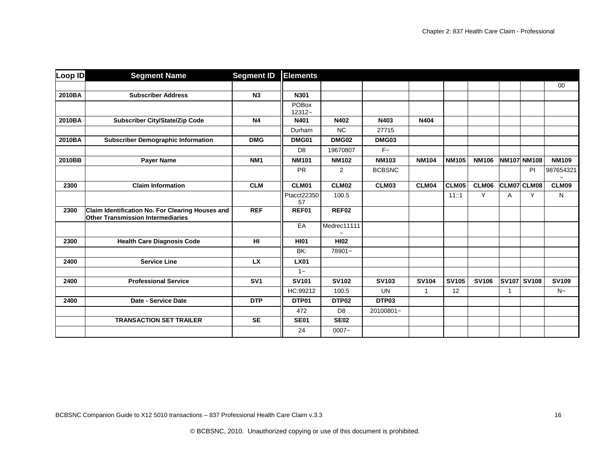| Loop ID | <b>Segment Name</b>                                                                          | <b>Segment ID</b> | <b>Elements</b>           |                |               |              |              |              |   |                    |              |
|---------|----------------------------------------------------------------------------------------------|-------------------|---------------------------|----------------|---------------|--------------|--------------|--------------|---|--------------------|--------------|
|         |                                                                                              |                   |                           |                |               |              |              |              |   |                    | 00           |
| 2010BA  | <b>Subscriber Address</b>                                                                    | N <sub>3</sub>    | N301                      |                |               |              |              |              |   |                    |              |
|         |                                                                                              |                   | <b>POBox</b><br>$12312 -$ |                |               |              |              |              |   |                    |              |
| 2010BA  | <b>Subscriber City/State/Zip Code</b>                                                        | N <sub>4</sub>    | N401                      | N402           | N403          | N404         |              |              |   |                    |              |
|         |                                                                                              |                   | Durham                    | <b>NC</b>      | 27715         |              |              |              |   |                    |              |
| 2010BA  | <b>Subscriber Demographic Information</b>                                                    | <b>DMG</b>        | DMG01                     | <b>DMG02</b>   | DMG03         |              |              |              |   |                    |              |
|         |                                                                                              |                   | D <sub>8</sub>            | 19670807       | $F -$         |              |              |              |   |                    |              |
| 2010BB  | <b>Payer Name</b>                                                                            | NM <sub>1</sub>   | <b>NM101</b>              | <b>NM102</b>   | <b>NM103</b>  | <b>NM104</b> | <b>NM105</b> | <b>NM106</b> |   | <b>NM107 NM108</b> | <b>NM109</b> |
|         |                                                                                              |                   | <b>PR</b>                 | $\overline{2}$ | <b>BCBSNC</b> |              |              |              |   | PI                 | 987654321    |
| 2300    | <b>Claim Information</b>                                                                     | <b>CLM</b>        | CLM01                     | CLM02          | CLM03         | CLM04        | CLM05        | CLM06        |   | CLM07 CLM08        | CLM09        |
|         |                                                                                              |                   | Ptacct22350<br>57         | 100.5          |               |              | 11::1        | Y            | Α | Y                  | N            |
| 2300    | Claim Identification No. For Clearing Houses and<br><b>Other Transmission Intermediaries</b> | <b>REF</b>        | REF01                     | REF02          |               |              |              |              |   |                    |              |
|         |                                                                                              |                   | EA                        | Medrec11111    |               |              |              |              |   |                    |              |
| 2300    | <b>Health Care Diagnosis Code</b>                                                            | <b>HI</b>         | <b>HI01</b>               | <b>HI02</b>    |               |              |              |              |   |                    |              |
|         |                                                                                              |                   | BK:                       | 78901~         |               |              |              |              |   |                    |              |
| 2400    | <b>Service Line</b>                                                                          | <b>LX</b>         | <b>LX01</b>               |                |               |              |              |              |   |                    |              |
|         |                                                                                              |                   | $1 -$                     |                |               |              |              |              |   |                    |              |
| 2400    | <b>Professional Service</b>                                                                  | SV <sub>1</sub>   | <b>SV101</b>              | <b>SV102</b>   | <b>SV103</b>  | <b>SV104</b> | <b>SV105</b> | <b>SV106</b> |   | <b>SV107 SV108</b> | <b>SV109</b> |
|         |                                                                                              |                   | HC:99212                  | 100.5          | <b>UN</b>     | $\mathbf{1}$ | 12           |              | 1 |                    | $N_{\sim}$   |
| 2400    | Date - Service Date                                                                          | <b>DTP</b>        | DTP01                     | DTP02          | DTP03         |              |              |              |   |                    |              |
|         |                                                                                              |                   | 472                       | D <sub>8</sub> | 20100801~     |              |              |              |   |                    |              |
|         | <b>TRANSACTION SET TRAILER</b>                                                               | <b>SE</b>         | <b>SE01</b>               | <b>SE02</b>    |               |              |              |              |   |                    |              |
|         |                                                                                              |                   | 24                        | $0007 -$       |               |              |              |              |   |                    |              |

BCBSNC Companion Guide to X12 5010 transactions - 837 Professional Health Care Claim v.3.3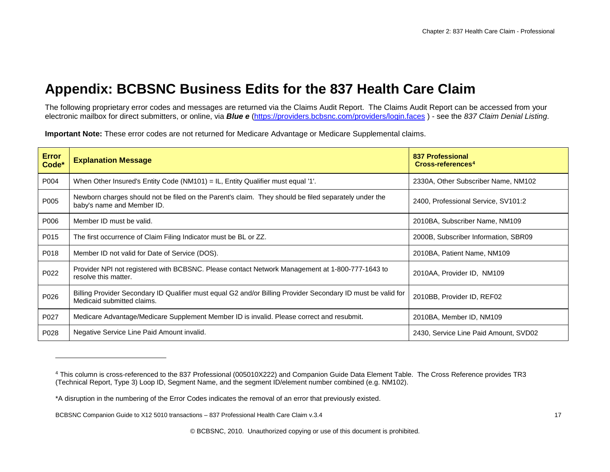### <span id="page-17-2"></span><span id="page-17-1"></span>**Appendix: BCBSNC Business Edits for the 837 Health Care Claim**

The following proprietary error codes and messages are returned via the Claims Audit Report. The Claims Audit Report can be accessed from your electronic mailbox for direct submitters, or online, via *Blue e* [\(https://providers.bcbsnc.com/providers/login.faces](https://providers.bcbsnc.com/providers/login.faces) ) - see the *837 Claim Denial Listing*.

**Important Note:** These error codes are not returned for Medicare Advantage or Medicare Supplemental claims.

<span id="page-17-0"></span>

| <b>Error</b><br>Code* | <b>Explanation Message</b>                                                                                                                 | 837 Professional<br>Cross-references <sup>4</sup> |
|-----------------------|--------------------------------------------------------------------------------------------------------------------------------------------|---------------------------------------------------|
| P004                  | When Other Insured's Entity Code (NM101) = IL, Entity Qualifier must equal '1'.                                                            | 2330A, Other Subscriber Name, NM102               |
| P005                  | Newborn charges should not be filed on the Parent's claim. They should be filed separately under the<br>baby's name and Member ID.         | 2400, Professional Service, SV101:2               |
| P006                  | Member ID must be valid.                                                                                                                   | 2010BA, Subscriber Name, NM109                    |
| P015                  | The first occurrence of Claim Filing Indicator must be BL or ZZ.                                                                           | 2000B, Subscriber Information, SBR09              |
| P018                  | Member ID not valid for Date of Service (DOS).                                                                                             | 2010BA, Patient Name, NM109                       |
| P022                  | Provider NPI not registered with BCBSNC. Please contact Network Management at 1-800-777-1643 to<br>resolve this matter.                    | 2010AA, Provider ID, NM109                        |
| P026                  | Billing Provider Secondary ID Qualifier must equal G2 and/or Billing Provider Secondary ID must be valid for<br>Medicaid submitted claims. | 2010BB, Provider ID, REF02                        |
| P027                  | Medicare Advantage/Medicare Supplement Member ID is invalid. Please correct and resubmit.                                                  | 2010BA, Member ID, NM109                          |
| P028                  | Negative Service Line Paid Amount invalid.                                                                                                 | 2430, Service Line Paid Amount, SVD02             |

-

<sup>4</sup> This column is cross-referenced to the 837 Professional (005010X222) and Companion Guide Data Element Table. The Cross Reference provides TR3 (Technical Report, Type 3) Loop ID, Segment Name, and the segment ID/element number combined (e.g. NM102).

<sup>\*</sup>A disruption in the numbering of the Error Codes indicates the removal of an error that previously existed.

BCBSNC Companion Guide to X12 5010 transactions – 837 Professional Health Care Claim v.3.4 17 17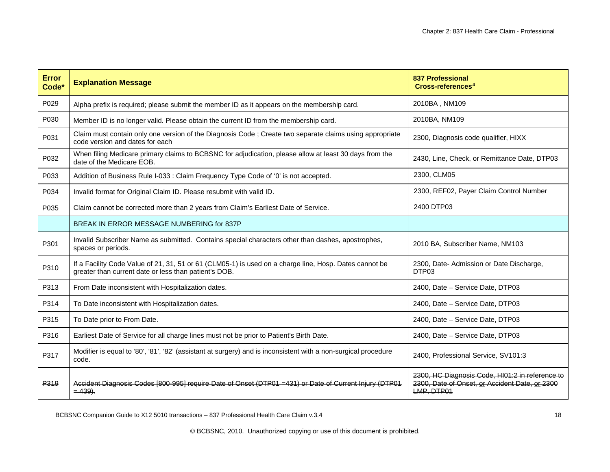| <b>Error</b><br>Code* | <b>Explanation Message</b>                                                                                                                                      | <b>837 Professional</b><br>Cross-references <sup>4</sup>                                                        |  |
|-----------------------|-----------------------------------------------------------------------------------------------------------------------------------------------------------------|-----------------------------------------------------------------------------------------------------------------|--|
| P029                  | Alpha prefix is required; please submit the member ID as it appears on the membership card.                                                                     | 2010BA, NM109                                                                                                   |  |
| P030                  | Member ID is no longer valid. Please obtain the current ID from the membership card.                                                                            | 2010BA, NM109                                                                                                   |  |
| P031                  | Claim must contain only one version of the Diagnosis Code; Create two separate claims using appropriate<br>code version and dates for each                      | 2300, Diagnosis code qualifier, HIXX                                                                            |  |
| P032                  | When filing Medicare primary claims to BCBSNC for adjudication, please allow at least 30 days from the<br>date of the Medicare EOB.                             | 2430, Line, Check, or Remittance Date, DTP03                                                                    |  |
| P033                  | Addition of Business Rule I-033 : Claim Frequency Type Code of '0' is not accepted.                                                                             | 2300, CLM05                                                                                                     |  |
| P034                  | Invalid format for Original Claim ID. Please resubmit with valid ID.                                                                                            | 2300, REF02, Payer Claim Control Number                                                                         |  |
| P035                  | Claim cannot be corrected more than 2 years from Claim's Earliest Date of Service.                                                                              | 2400 DTP03                                                                                                      |  |
|                       | BREAK IN ERROR MESSAGE NUMBERING for 837P                                                                                                                       |                                                                                                                 |  |
| P301                  | Invalid Subscriber Name as submitted. Contains special characters other than dashes, apostrophes,<br>spaces or periods.                                         | 2010 BA, Subscriber Name, NM103                                                                                 |  |
| P310                  | If a Facility Code Value of 21, 31, 51 or 61 (CLM05-1) is used on a charge line, Hosp. Dates cannot be<br>greater than current date or less than patient's DOB. | 2300, Date- Admission or Date Discharge,<br>DTP03                                                               |  |
| P313                  | From Date inconsistent with Hospitalization dates.                                                                                                              | 2400, Date - Service Date, DTP03                                                                                |  |
| P314                  | To Date inconsistent with Hospitalization dates.                                                                                                                | 2400, Date - Service Date, DTP03                                                                                |  |
| P315                  | To Date prior to From Date.                                                                                                                                     | 2400, Date - Service Date, DTP03                                                                                |  |
| P316                  | Earliest Date of Service for all charge lines must not be prior to Patient's Birth Date.                                                                        | 2400, Date - Service Date, DTP03                                                                                |  |
| P317                  | Modifier is equal to '80', '81', '82' (assistant at surgery) and is inconsistent with a non-surgical procedure<br>code.                                         | 2400, Professional Service, SV101:3                                                                             |  |
| P <sub>319</sub>      | Accident Diagnosis Codes [800-995] require Date of Onset (DTP01 = 431) or Date of Current Injury (DTP01<br>$= 439$ .                                            | 2300, HC Diagnosis Code, HI01:2 in reference to<br>2300, Date of Onset, or Accident Date, or 2300<br>LMP, DTP01 |  |

BCBSNC Companion Guide to X12 5010 transactions - 837 Professional Health Care Claim v.3.4 18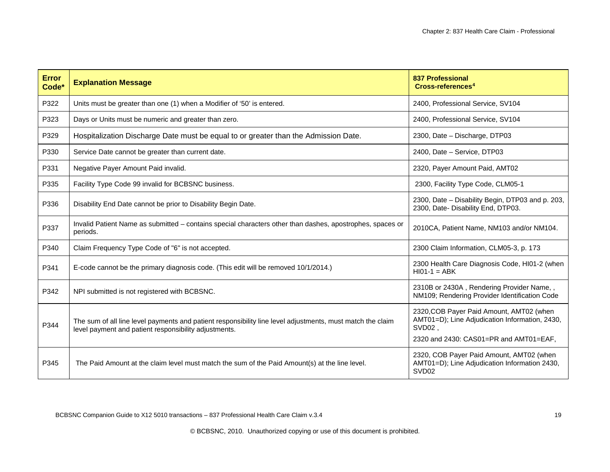| <b>Error</b><br>Code* | <b>Explanation Message</b>                                                                                                                                          | <b>837 Professional</b><br>Cross-references <sup>4</sup>                                                                                                    |
|-----------------------|---------------------------------------------------------------------------------------------------------------------------------------------------------------------|-------------------------------------------------------------------------------------------------------------------------------------------------------------|
| P322                  | Units must be greater than one (1) when a Modifier of '50' is entered.                                                                                              | 2400, Professional Service, SV104                                                                                                                           |
| P323                  | Days or Units must be numeric and greater than zero.                                                                                                                | 2400, Professional Service, SV104                                                                                                                           |
| P329                  | Hospitalization Discharge Date must be equal to or greater than the Admission Date.                                                                                 | 2300, Date - Discharge, DTP03                                                                                                                               |
| P330                  | Service Date cannot be greater than current date.                                                                                                                   | 2400, Date - Service, DTP03                                                                                                                                 |
| P331                  | Negative Payer Amount Paid invalid.                                                                                                                                 | 2320, Payer Amount Paid, AMT02                                                                                                                              |
| P335                  | Facility Type Code 99 invalid for BCBSNC business.                                                                                                                  | 2300, Facility Type Code, CLM05-1                                                                                                                           |
| P336                  | Disability End Date cannot be prior to Disability Begin Date.                                                                                                       | 2300, Date - Disability Begin, DTP03 and p. 203,<br>2300, Date- Disability End, DTP03.                                                                      |
| P337                  | Invalid Patient Name as submitted - contains special characters other than dashes, apostrophes, spaces or<br>periods.                                               | 2010CA, Patient Name, NM103 and/or NM104.                                                                                                                   |
| P340                  | Claim Frequency Type Code of "6" is not accepted.                                                                                                                   | 2300 Claim Information, CLM05-3, p. 173                                                                                                                     |
| P341                  | E-code cannot be the primary diagnosis code. (This edit will be removed 10/1/2014.)                                                                                 | 2300 Health Care Diagnosis Code, HI01-2 (when<br>$HIO1-1 = ABK$                                                                                             |
| P342                  | NPI submitted is not registered with BCBSNC.                                                                                                                        | 2310B or 2430A, Rendering Provider Name,,<br>NM109; Rendering Provider Identification Code                                                                  |
| P344                  | The sum of all line level payments and patient responsibility line level adjustments, must match the claim<br>level payment and patient responsibility adjustments. | 2320, COB Payer Paid Amount, AMT02 (when<br>AMT01=D); Line Adjudication Information, 2430,<br>SVD <sub>02</sub> ,<br>2320 and 2430: CAS01=PR and AMT01=EAF, |
| P345                  | The Paid Amount at the claim level must match the sum of the Paid Amount(s) at the line level.                                                                      | 2320, COB Payer Paid Amount, AMT02 (when<br>AMT01=D); Line Adjudication Information 2430,<br>SVD <sub>02</sub>                                              |

BCBSNC Companion Guide to X12 5010 transactions – 837 Professional Health Care Claim v.3.4 19 19 19 19 19 19 19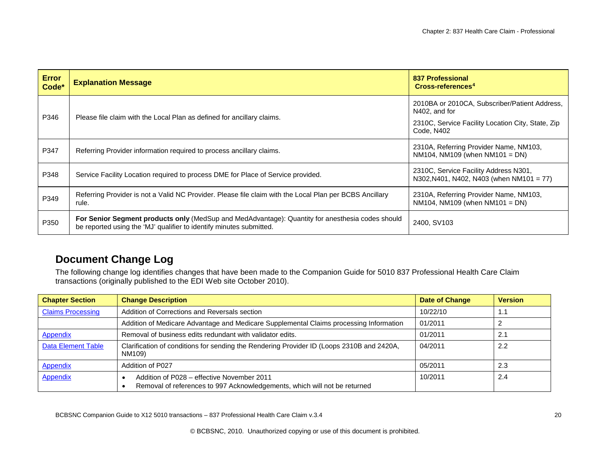| <b>Error</b><br>Code* | <b>Explanation Message</b>                                                                                                                                              | 837 Professional<br>Cross-references <sup>4</sup>                                                                                 |
|-----------------------|-------------------------------------------------------------------------------------------------------------------------------------------------------------------------|-----------------------------------------------------------------------------------------------------------------------------------|
| P346                  | Please file claim with the Local Plan as defined for ancillary claims.                                                                                                  | 2010BA or 2010CA, Subscriber/Patient Address,<br>N402, and for<br>2310C, Service Facility Location City, State, Zip<br>Code, N402 |
| P347                  | Referring Provider information required to process ancillary claims.                                                                                                    | 2310A, Referring Provider Name, NM103,<br>NM104, NM109 (when $NM101 = DN$ )                                                       |
| P348                  | Service Facility Location required to process DME for Place of Service provided.                                                                                        | 2310C, Service Facility Address N301,<br>N302, N401, N402, N403 (when NM101 = 77)                                                 |
| P349                  | Referring Provider is not a Valid NC Provider. Please file claim with the Local Plan per BCBS Ancillary<br>rule.                                                        | 2310A, Referring Provider Name, NM103,<br>NM104, NM109 (when $NM101 = DN$ )                                                       |
| P350                  | For Senior Segment products only (MedSup and MedAdvantage): Quantity for anesthesia codes should<br>be reported using the 'MJ' qualifier to identify minutes submitted. | 2400, SV103                                                                                                                       |

### **Document Change Log**

The following change log identifies changes that have been made to the Companion Guide for 5010 837 Professional Health Care Claim transactions (originally published to the EDI Web site October 2010).

| <b>Chapter Section</b>   | <b>Change Description</b>                                                                                               | <b>Date of Change</b> | <b>Version</b> |
|--------------------------|-------------------------------------------------------------------------------------------------------------------------|-----------------------|----------------|
| <b>Claims Processing</b> | Addition of Corrections and Reversals section                                                                           | 10/22/10              | 1.1            |
|                          | Addition of Medicare Advantage and Medicare Supplemental Claims processing Information                                  | 01/2011               |                |
| Appendix                 | Removal of business edits redundant with validator edits.                                                               | 01/2011               | 2.1            |
| Data Element Table       | Clarification of conditions for sending the Rendering Provider ID (Loops 2310B and 2420A,<br>NM109)                     | 04/2011               | 2.2            |
| <b>Appendix</b>          | Addition of P027                                                                                                        | 05/2011               | 2.3            |
| Appendix                 | Addition of P028 – effective November 2011<br>Removal of references to 997 Acknowledgements, which will not be returned | 10/2011               | 2.4            |

<span id="page-20-0"></span>BCBSNC Companion Guide to X12 5010 transactions - 837 Professional Health Care Claim v.3.4 20<br>
20